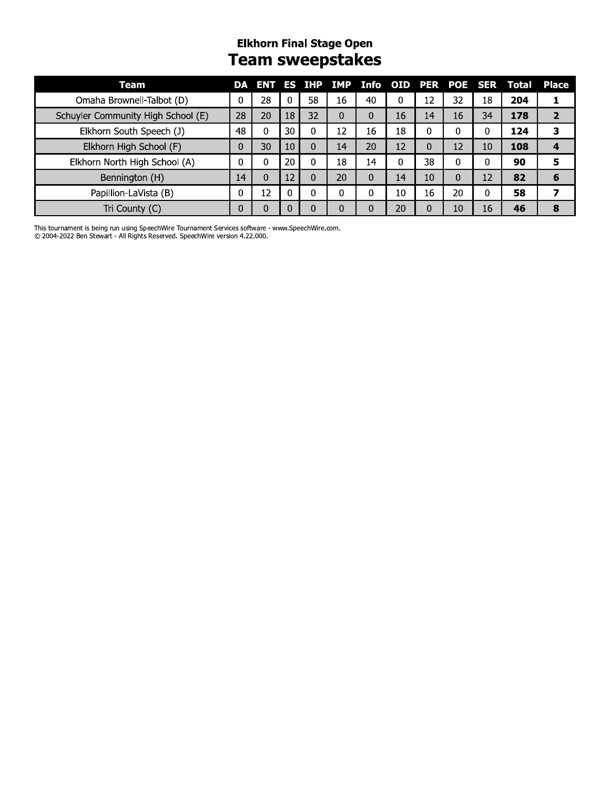#### **Elkhorn Final Stage Open Team sweepstakes**

| Team                               | DA |    |    |    | ENT ES IHP IMP |    |    |    |    |    | Info OID PER POE SER Total | <b>Place</b> |
|------------------------------------|----|----|----|----|----------------|----|----|----|----|----|----------------------------|--------------|
| Omaha Brownell-Talbot (D)          | 0  | 28 | 0  | 58 | 16             | 40 | 0  | 12 | 32 | 18 | 204                        |              |
| Schuyler Community High School (E) | 28 | 20 | 18 | 32 | $\Omega$       | 0  | 16 | 14 | 16 | 34 | 178                        | 2            |
| Elkhorn South Speech (J)           | 48 | 0  | 30 | 0  | 12             | 16 | 18 | 0  | 0  |    | 124                        | 3            |
| Elkhorn High School (F)            | 0  | 30 | 10 | 0  | 14             | 20 | 12 | 0  | 12 | 10 | 108                        |              |
| Elkhorn North High School (A)      | 0  | 0  | 20 | 0  | 18             | 14 | 0  | 38 | 0  | 0  | 90                         | 5            |
| Bennington (H)                     | 14 | 0  | 12 | 0  | 20             | 0  | 14 | 10 | 0  | 12 | 82                         | 6            |
| Papillion-LaVista (B)              | 0  | 12 | 0  | 0  | 0              | 0  | 10 | 16 | 20 | 0  | 58                         |              |
| Tri County (C)                     | 0  |    | 0  | 0  | 0              | 0  | 20 | 0  | 10 | 16 | 46                         | 8            |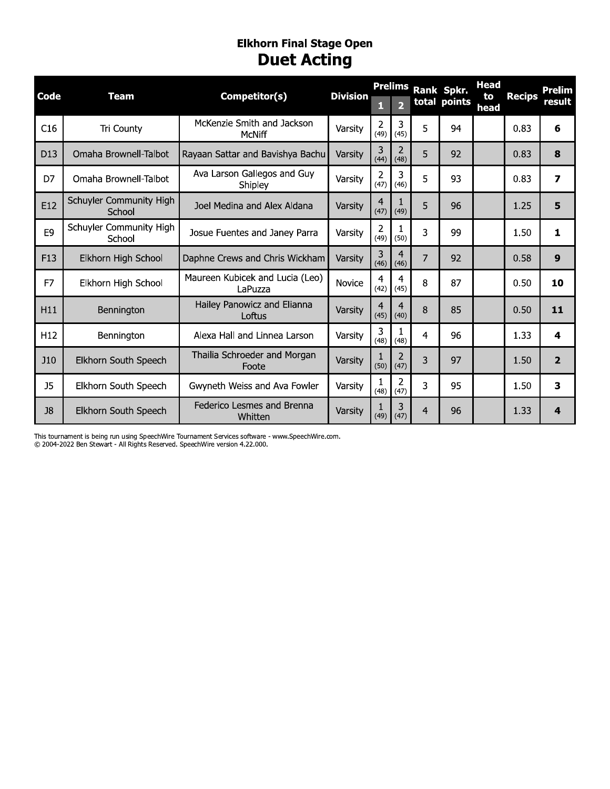#### Eiknorn Finai Stage Open **DUET ACTING**

| Code            | <b>Team</b>                                                                 | Competitor(s)                                                                                    | <b>Division</b> | 1                      | <b>Prelims</b><br>$\overline{2}$ |                | Rank Spkr.<br>total points | <b>Head</b><br>to<br>head | <b>Recips</b> | Prelim |
|-----------------|-----------------------------------------------------------------------------|--------------------------------------------------------------------------------------------------|-----------------|------------------------|----------------------------------|----------------|----------------------------|---------------------------|---------------|--------|
| C16             | Tri County                                                                  | McKenzie Smith and Jackson<br>McNiff                                                             | Varsity         | $\overline{2}$<br>(49) | 3<br>(45)                        | 5              | 94                         |                           | 0.83          |        |
| D <sub>13</sub> | Omaha Brownell-Talbot                                                       | Rayaan Sattar and Bavishya Bachu                                                                 | Varsity         | 3<br>(44)              | $\overline{2}$<br>(48)           | 5              | 92                         |                           | 0.83          |        |
| D7              | Omaha Brownell-Talbot                                                       | Ava Larson Gallegos and Guy<br>Shipley                                                           | Varsity         | $\overline{2}$<br>(47) | 3<br>(46)                        | 5              | 93                         |                           | 0.83          |        |
| E12             | Schuyler Community High<br>School                                           | Joel Medina and Alex Aldana                                                                      | Varsity         | $\overline{4}$<br>(47) | $\mathbf{1}$<br>(49)             | 5              | 96                         |                           | 1.25          |        |
| E <sub>9</sub>  | Schuyler Community High<br>School                                           | Josue Fuentes and Janey Parra                                                                    | Varsity         | $\overline{2}$<br>(49) | 1<br>(50)                        | 3              | 99                         |                           | 1.50          |        |
| F <sub>13</sub> | Elkhorn High School                                                         | Daphne Crews and Chris Wickham                                                                   | Varsity         | 3<br>(46)              | $\overline{4}$<br>(46)           | $\overline{7}$ | 92                         |                           | 0.58          |        |
| F7              | Elkhorn High School                                                         | Maureen Kubicek and Lucia (Leo)<br>LaPuzza                                                       | Novice          | $\overline{4}$<br>(42) | $\overline{\mathcal{A}}$<br>(45) | 8              | 87                         |                           | 0.50          |        |
| H11             | Bennington                                                                  | Hailey Panowicz and Elianna<br>Loftus                                                            | Varsity         | $\overline{a}$<br>(45) | $\overline{a}$<br>(40)           | 8              | 85                         |                           | 0.50          |        |
| H <sub>12</sub> | Bennington                                                                  | Alexa Hall and Linnea Larson                                                                     | Varsity         | 3<br>(48)              | $\mathbf{1}$<br>(48)             | $\overline{4}$ | 96                         |                           | 1.33          |        |
| <b>J10</b>      | Elkhorn South Speech                                                        | Thailia Schroeder and Morgan<br>Foote                                                            | Varsity         | $\mathbf{1}$<br>(50)   | $\overline{2}$<br>(47)           | 3              | 97                         |                           | 1.50          |        |
| J <sub>5</sub>  | Elkhorn South Speech                                                        | Gwyneth Weiss and Ava Fowler                                                                     | Varsity         | 1<br>(48)              | $\overline{2}$<br>(47)           | 3              | 95                         |                           | 1.50          |        |
| J8              | Elkhorn South Speech                                                        | Federico Lesmes and Brenna<br>Whitten                                                            | Varsity         | 1<br>(49)              | 3<br>(47)                        | $\overline{4}$ | 96                         |                           | 1.33          |        |
|                 | © 2004-2022 Ben Stewart - All Rights Reserved. SpeechWire version 4.22.000. | This tournament is being run using SpeechWire Tournament Services software - www.SpeechWire.com. |                 |                        |                                  |                |                            |                           |               |        |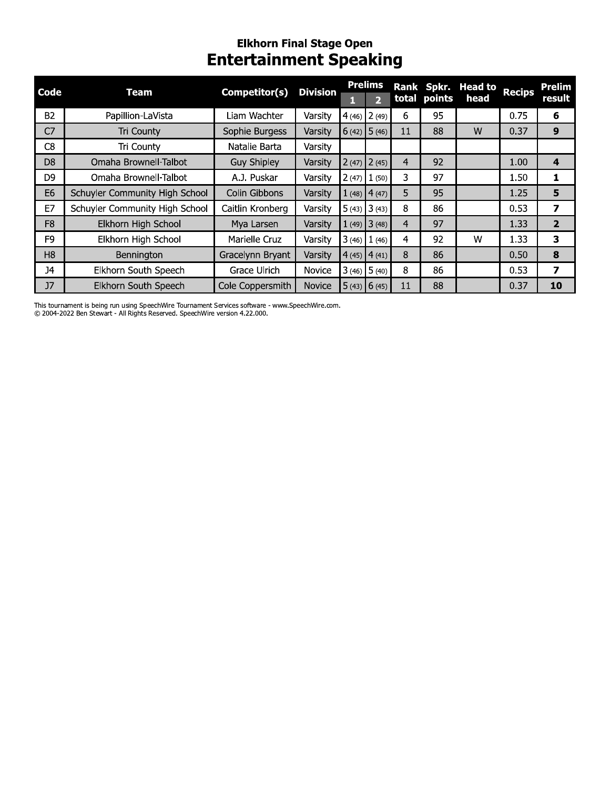# Elkhorn Final Stage Open<br>Entertainment Speaking

| <b>Code</b>    | <b>Team</b>                    | Competitor(s)      | <b>Division</b> |       | <b>Prelims</b><br>D |    | total points | Rank Spkr. Head to<br>head | <b>Recips</b> | Prelim<br>result |
|----------------|--------------------------------|--------------------|-----------------|-------|---------------------|----|--------------|----------------------------|---------------|------------------|
| <b>B2</b>      | Papillion-LaVista              | Liam Wachter       | Varsity         |       | $4(46)$ 2(49)       | 6  | 95           |                            | 0.75          | 6                |
| C <sub>7</sub> | Tri County                     | Sophie Burgess     | Varsity         |       | $6(42)$ 5 (46)      | 11 | 88           | W                          | 0.37          | 9                |
| C <sub>8</sub> | Tri County                     | Natalie Barta      | Varsity         |       |                     |    |              |                            |               |                  |
| D <sub>8</sub> | Omaha Brownell-Talbot          | <b>Guy Shipley</b> | Varsity         |       | $2(47)$ $2(45)$     | 4  | 92           |                            | 1.00          | 4                |
| D <sub>9</sub> | Omaha Brownell-Talbot          | A.J. Puskar        | Varsity         | 2(47) | $\vert$ 1 (50)      | 3  | 97           |                            | 1.50          | 1                |
| E <sub>6</sub> | Schuyler Community High School | Colin Gibbons      | Varsity         |       | $1(48)$ 4(47)       | 5  | 95           |                            | 1.25          | 5                |
| E7             | Schuyler Community High School | Caitlin Kronberg   | Varsity         |       | $5(43)$ 3(43)       | 8  | 86           |                            | 0.53          | 7                |
| F <sub>8</sub> | Elkhorn High School            | Mya Larsen         | Varsity         |       | $1(49)$ 3(48)       | 4  | 97           |                            | 1.33          | 2                |
| F9             | Elkhorn High School            | Marielle Cruz      | Varsity         |       | $3(46)$ 1 (46)      | 4  | 92           | W                          | 1.33          | 3                |
| H <sub>8</sub> | Bennington                     | Gracelynn Bryant   | Varsity         |       | $4(45)$ $4(41)$     | 8  | 86           |                            | 0.50          | 8                |
| <b>J4</b>      | Elkhorn South Speech           | Grace Ulrich       | Novice          |       | $3(46)$ $5(40)$     | 8  | 86           |                            | 0.53          | 7                |
| J7             | Elkhorn South Speech           | Cole Coppersmith   | Novice          |       | $5(43)$ 6(45)       | 11 | 88           |                            | 0.37          | 10               |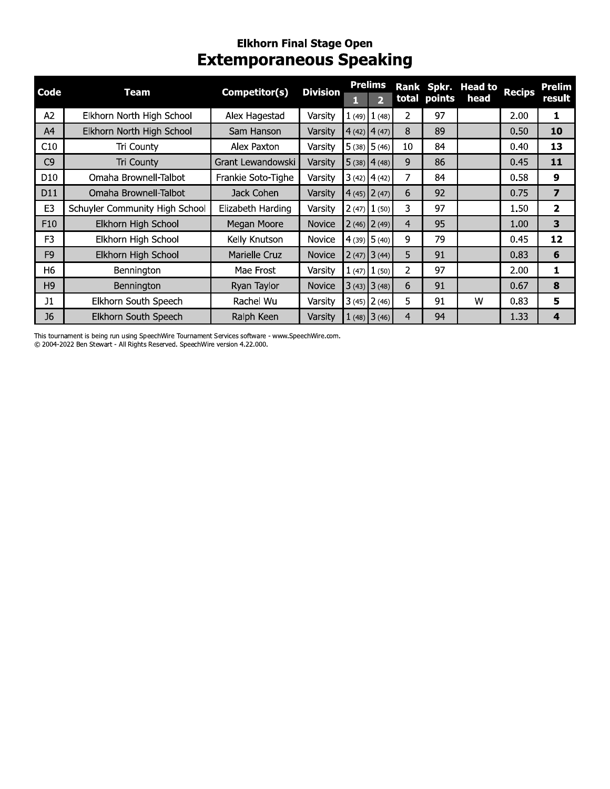#### **Elkhorn Final Stage Open Extemporaneous Speaking**

| Code            | Team                           | Competitor(s)      | <b>Division</b> |                 | <b>Prelims</b> |                |              | Rank Spkr. Head to | <b>Recips</b> | Prelim |
|-----------------|--------------------------------|--------------------|-----------------|-----------------|----------------|----------------|--------------|--------------------|---------------|--------|
|                 |                                |                    |                 | н               |                |                | total points | head               |               | result |
| A <sub>2</sub>  | Elkhorn North High School      | Alex Hagestad      | Varsity         | 1(49)           | 1(48)          | 2              | 97           |                    | 2.00          | 1      |
| A4              | Elkhorn North High School      | Sam Hanson         | Varsity         | 4(42)           | 4(47)          | 8              | 89           |                    | 0.50          | 10     |
| C10             | Tri County                     | Alex Paxton        | Varsity         | 15(38)          | 5(46)          | 10             | 84           |                    | 0.40          | 13     |
| C <sub>9</sub>  | Tri County                     | Grant Lewandowski  | Varsity         | $5(38)$ 4 (48)  |                | 9              | 86           |                    | 0.45          | 11     |
| D <sub>10</sub> | Omaha Brownell-Talbot          | Frankie Soto-Tighe | Varsity         | 3(42)           | 4(42)          | 7              | 84           |                    | 0.58          | 9      |
| D11             | Omaha Brownell-Talbot          | Jack Cohen         | Varsity         | 4(45)           | 2(47)          | 6              | 92           |                    | 0.75          | 7      |
| E <sub>3</sub>  | Schuyler Community High School | Elizabeth Harding  | Varsity         | 2(47)           | 1(50)          | 3              | 97           |                    | 1.50          | 2      |
| F <sub>10</sub> | Elkhorn High School            | Megan Moore        | Novice          | $2(46)$ $2(49)$ |                | $\overline{4}$ | 95           |                    | 1.00          | 3      |
| F <sub>3</sub>  | Elkhorn High School            | Kelly Knutson      | <b>Novice</b>   | 4(39)           | 5(40)          | 9              | 79           |                    | 0.45          | 12     |
| F <sub>9</sub>  | Elkhorn High School            | Marielle Cruz      | <b>Novice</b>   | $2(47)$ $3(44)$ |                | 5              | 91           |                    | 0.83          | 6      |
| H <sub>6</sub>  | Bennington                     | Mae Frost          | Varsity         | 1(47)           | 1(50)          | 2              | 97           |                    | 2.00          | 1      |
| H <sub>9</sub>  | Bennington                     | Ryan Taylor        | <b>Novice</b>   | $3(43)$ $3(48)$ |                | 6              | 91           |                    | 0.67          | 8      |
| J1              | Elkhorn South Speech           | Rachel Wu          | Varsity         | $3(45)$ $2(46)$ |                | 5              | 91           | w                  | 0.83          | 5      |
| J <sub>6</sub>  | Elkhorn South Speech           | Ralph Keen         | Varsity         |                 | $1(48)$ 3(46)  | 4              | 94           |                    | 1.33          | 4      |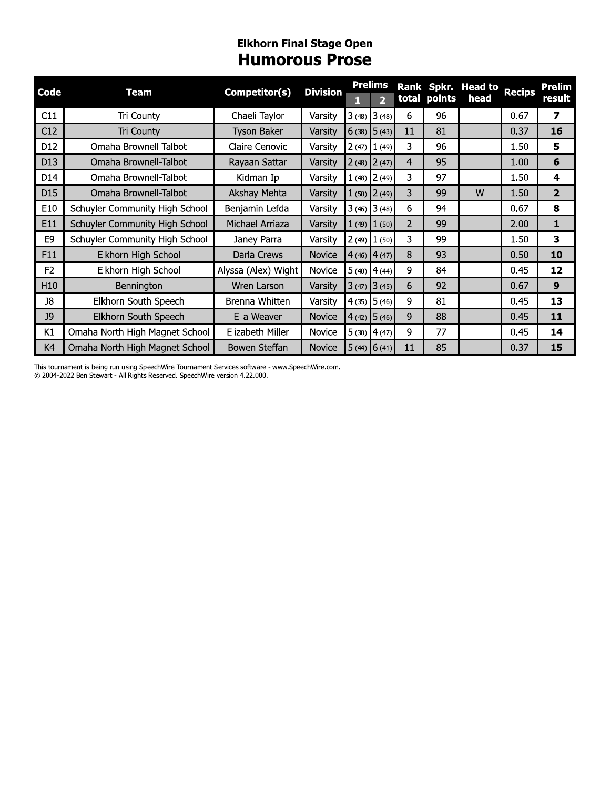#### **Elkhorn Final Stage Open Humorous Prose**

| Code           | Team                           | Competitor(s)       | <b>Division</b> | ш | <b>Prelims</b><br>$\overline{2}$ | Rank           | total points | Spkr. Head to<br>head | <b>Recips</b> | Prelim<br>result |
|----------------|--------------------------------|---------------------|-----------------|---|----------------------------------|----------------|--------------|-----------------------|---------------|------------------|
| C11            | Tri County                     | Chaeli Taylor       | Varsity         |   | $3(48)$ $3(48)$                  | 6              | 96           |                       | 0.67          | 7                |
| C12            | Tri County                     | <b>Tyson Baker</b>  | Varsity         |   | $6(38)$ 5 (43)                   | 11             | 81           |                       | 0.37          | 16               |
| D12            | Omaha Brownell-Talbot          | Claire Cenovic      | Varsity         |   | $2(47)$ $1(49)$                  | 3              | 96           |                       | 1.50          | 5                |
| D13            | Omaha Brownell-Talbot          | Rayaan Sattar       | Varsity         |   | $2(48)$ $2(47)$                  | 4              | 95           |                       | 1.00          | 6                |
| D14            | Omaha Brownell-Talbot          | Kidman Ip           | Varsity         |   | $1(48)$ $2(49)$                  | 3              | 97           |                       | 1.50          | 4                |
| D15            | Omaha Brownell-Talbot          | Akshay Mehta        | Varsity         |   | $1(50)$ $2(49)$                  | 3              | 99           | W                     | 1.50          | $\overline{2}$   |
| E10            | Schuyler Community High School | Benjamin Lefdal     | Varsity         |   | $3(46)$ $3(48)$                  | 6              | 94           |                       | 0.67          | 8                |
| E11            | Schuyler Community High School | Michael Arriaza     | Varsity         |   | $1(49)$ $1(50)$                  | $\overline{2}$ | 99           |                       | 2.00          | 1                |
| E9             | Schuyler Community High School | Janey Parra         | Varsity         |   | $2(49)$ $1(50)$                  | 3              | 99           |                       | 1.50          | 3                |
| F11            | Elkhorn High School            | Darla Crews         | <b>Novice</b>   |   | $4(46)$ $4(47)$                  | 8              | 93           |                       | 0.50          | 10               |
| F <sub>2</sub> | Elkhorn High School            | Alyssa (Alex) Wight | Novice          |   | $5(40)$ 4 (44)                   | 9              | 84           |                       | 0.45          | 12               |
| H10            | Bennington                     | Wren Larson         | Varsity         |   | $3(47)$ $3(45)$                  | 6              | 92           |                       | 0.67          | $\boldsymbol{9}$ |
| J8             | Elkhorn South Speech           | Brenna Whitten      | Varsity         |   | $4(35)$ 5 (46)                   | 9              | 81           |                       | 0.45          | 13               |
| J9             | Elkhorn South Speech           | Ella Weaver         | Novice          |   | $4(42)$ 5 (46)                   | 9              | 88           |                       | 0.45          | 11               |
| K1             | Omaha North High Magnet School | Elizabeth Miller    | Novice          |   | $5(30)$ 4 (47)                   | 9              | 77           |                       | 0.45          | 14               |
| K4             | Omaha North High Magnet School | Bowen Steffan       | Novice          |   | $5(44)$ 6 (41)                   | 11             | 85           |                       | 0.37          | 15               |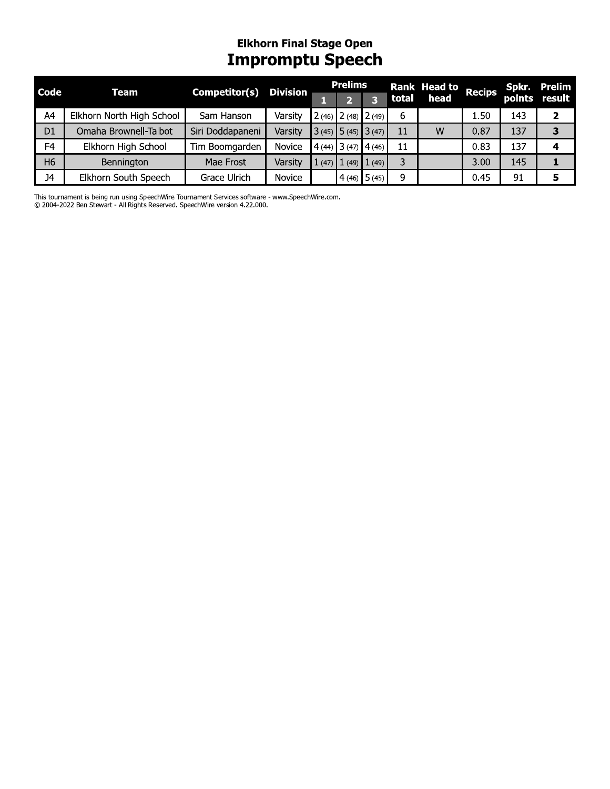# Elkhorn Final Stage Open<br>**Impromptu Speech**

| Code           | Team                      | Competitor(s)    | <b>Division</b> |       | <b>Prelims</b> |                         |    | Rank Head to Recips |      |     | Spkr. Prelim  |
|----------------|---------------------------|------------------|-----------------|-------|----------------|-------------------------|----|---------------------|------|-----|---------------|
|                |                           |                  |                 |       |                |                         |    | total head          |      |     | points result |
| A4             | Elkhorn North High School | Sam Hanson       | Varsity         |       |                | $2(46)$ $2(48)$ $2(49)$ | 6  |                     | 1.50 | 143 |               |
| D <sub>1</sub> | Omaha Brownell-Talbot     | Siri Doddapaneni | Varsity         |       |                | $3(45)$ 5 (45) 3 (47)   | 11 | W                   | 0.87 | 137 |               |
| F <sub>4</sub> | Elkhorn High School       | Tim Boomgarden   | Novice          |       |                | $(4(44)$ 3 (47) 4 (46)  | 11 |                     | 0.83 | 137 |               |
| H <sub>6</sub> | Bennington                | Mae Frost        | Varsity         | 1(47) |                | $1(49)$ $1(49)$         |    |                     | 3.00 | 145 |               |
| <b>J4</b>      | Elkhorn South Speech      | Grace Ulrich     | Novice          |       |                | $4(46)$ 5 (45)          | q  |                     | 0.45 | 91  |               |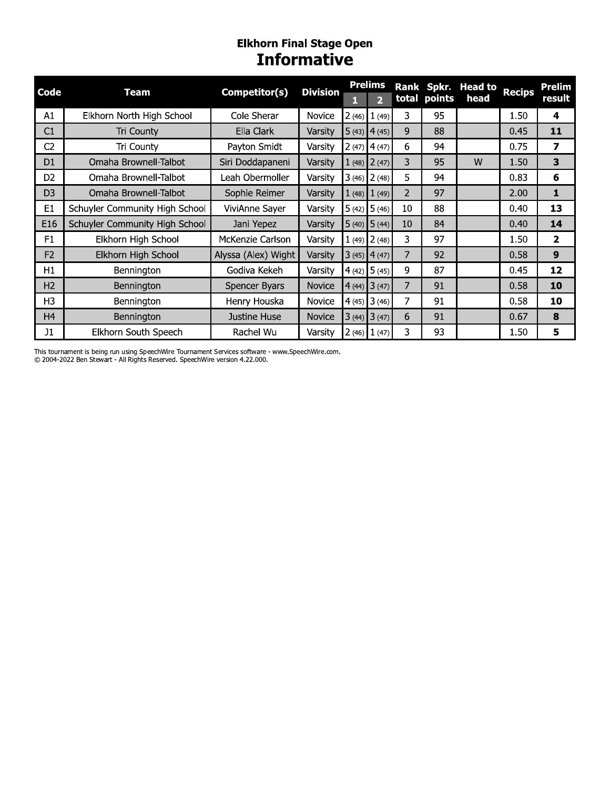## Elkhorn Final Stage Open<br> **Informative**

| Code           | Team                           | Competitor(s)       | <b>Division</b> |       | <b>Prelims</b>  | <b>Rank</b>    | Spkr.        | <b>Head to</b> | <b>Recips</b> | <b>Prelim</b>           |
|----------------|--------------------------------|---------------------|-----------------|-------|-----------------|----------------|--------------|----------------|---------------|-------------------------|
|                |                                |                     |                 |       | $\overline{2}$  |                | total points | head           |               | result                  |
| A1             | Elkhorn North High School      | Cole Sherar         | Novice          | 2(46) | 1(49)           | 3              | 95           |                | 1.50          | 4                       |
| C1             | <b>Tri County</b>              | Ella Clark          | Varsity         |       | $5(43)$ 4(45)   | 9              | 88           |                | 0.45          | 11                      |
| C <sub>2</sub> | Tri County                     | Payton Smidt        | Varsity         |       | $2(47)$ 4(47)   | 6              | 94           |                | 0.75          | 7                       |
| D <sub>1</sub> | Omaha Brownell-Talbot          | Siri Doddapaneni    | Varsity         |       | $1(48)$ $2(47)$ | 3              | 95           | W              | 1.50          | 3                       |
| D <sub>2</sub> | Omaha Brownell-Talbot          | Leah Obermoller     | Varsity         |       | $3(46)$ $2(48)$ | 5              | 94           |                | 0.83          | 6                       |
| D <sub>3</sub> | Omaha Brownell-Talbot          | Sophie Reimer       | Varsity         |       | $1(48)$ $1(49)$ | $\overline{2}$ | 97           |                | 2.00          | 1                       |
| E <sub>1</sub> | Schuyler Community High School | ViviAnne Sayer      | Varsity         |       | $5(42)$ 5 (46)  | 10             | 88           |                | 0.40          | 13                      |
| E16            | Schuyler Community High School | Jani Yepez          | Varsity         |       | $5(40)$ $5(44)$ | 10             | 84           |                | 0.40          | 14                      |
| F <sub>1</sub> | Elkhorn High School            | McKenzie Carlson    | Varsity         |       | $1(49)$ $2(48)$ | 3              | 97           |                | 1.50          | $\overline{\mathbf{2}}$ |
| F <sub>2</sub> | Elkhorn High School            | Alyssa (Alex) Wight | Varsity         |       | $3(45)$ 4(47)   | 7              | 92           |                | 0.58          | 9                       |
| H1             | Bennington                     | Godiva Kekeh        | Varsity         |       | $4(42)$ 5 (45)  | 9              | 87           |                | 0.45          | 12                      |
| H <sub>2</sub> | Bennington                     | Spencer Byars       | Novice          |       | $4(44)$ 3 (47)  | 7              | 91           |                | 0.58          | 10                      |
| H <sub>3</sub> | Bennington                     | Henry Houska        | Novice          |       | $4(45)$ 3 (46)  | 7              | 91           |                | 0.58          | 10                      |
| H <sub>4</sub> | Bennington                     | Justine Huse        | Novice          |       | $3(44)$ $3(47)$ | 6              | 91           |                | 0.67          | 8                       |
| J1             | Elkhorn South Speech           | Rachel Wu           | Varsity         |       | $2(46)$ $1(47)$ | 3              | 93           |                | 1.50          | 5                       |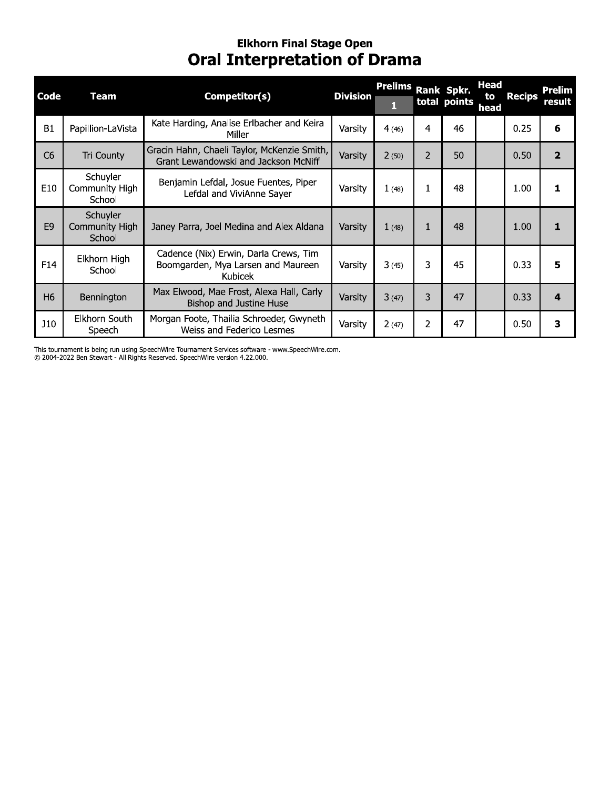# Elkhorn Final Stage Open<br>Oral Interpretation of Drama

| Code           | Team                                        | Competitor(s)                                                                          | <b>Division</b> | <b>Prelims</b> |                | Rank Spkr.<br>total points | <b>Head</b><br>to<br>head | <b>Recips</b> | Prelim<br>result |
|----------------|---------------------------------------------|----------------------------------------------------------------------------------------|-----------------|----------------|----------------|----------------------------|---------------------------|---------------|------------------|
| <b>B1</b>      | Papillion-LaVista                           | Kate Harding, Analise Erlbacher and Keira<br>Miller                                    | Varsity         | 4(46)          | 4              | 46                         |                           | 0.25          | 6                |
| C <sub>6</sub> | Tri County                                  | Gracin Hahn, Chaeli Taylor, McKenzie Smith,<br>Grant Lewandowski and Jackson McNiff    | Varsity         | 2(50)          | $\overline{2}$ | 50                         |                           | 0.50          | $\overline{2}$   |
| E10            | Schuyler<br>Community High<br>School        | Benjamin Lefdal, Josue Fuentes, Piper<br>Lefdal and ViviAnne Sayer                     | Varsity         | 1(48)          | 1              | 48                         |                           | 1.00          |                  |
| E <sub>9</sub> | <b>Schuyler</b><br>Community High<br>School | Janey Parra, Joel Medina and Alex Aldana                                               | Varsity         | 1(48)          | 1              | 48                         |                           | 1.00          |                  |
| F14            | Elkhorn High<br>School                      | Cadence (Nix) Erwin, Darla Crews, Tim<br>Boomgarden, Mya Larsen and Maureen<br>Kubicek | Varsity         | 3(45)          | 3              | 45                         |                           | 0.33          | 5                |
| H <sub>6</sub> | Bennington                                  | Max Elwood, Mae Frost, Alexa Hall, Carly<br>Bishop and Justine Huse                    | Varsity         | 3(47)          | 3              | 47                         |                           | 0.33          | 4                |
| J10            | Elkhorn South<br>Speech                     | Morgan Foote, Thailia Schroeder, Gwyneth<br>Weiss and Federico Lesmes                  | Varsity         | 2(47)          | $\overline{2}$ | 47                         |                           | 0.50          | 3                |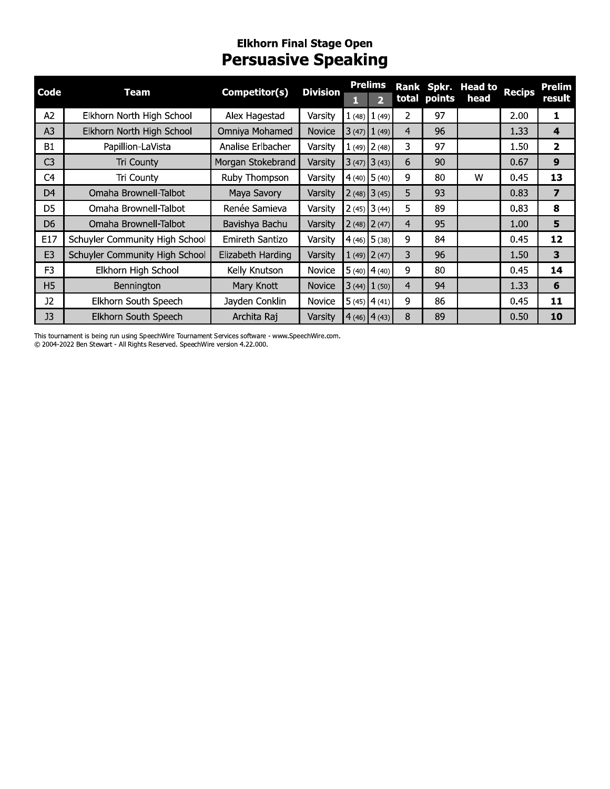#### Eiknorn Finai Stage Open Persuasive Speaking

| Code           | <b>Team</b>                    | Competitor(s)     | <b>Division</b> | 1              | <b>Prelims</b><br>$\overline{2}$ |                | total points | Rank Spkr. Head to<br>head | <b>Recips</b> | <b>Prelim</b><br>result |
|----------------|--------------------------------|-------------------|-----------------|----------------|----------------------------------|----------------|--------------|----------------------------|---------------|-------------------------|
| A2             | Elkhorn North High School      | Alex Hagestad     | Varsity         |                | $1(48)$ $1(49)$                  | 2              | 97           |                            | 2.00          | $\mathbf{1}$            |
| A <sub>3</sub> | Elkhorn North High School      | Omniya Mohamed    | Novice          |                | $3(47)$ $1(49)$                  | $\overline{4}$ | 96           |                            | 1.33          | 4                       |
| <b>B1</b>      | Papillion-LaVista              | Analise Erlbacher | Varsity         |                | $1(49)$ 2(48)                    | 3              | 97           |                            | 1.50          | $\overline{2}$          |
| C <sub>3</sub> | Tri County                     | Morgan Stokebrand | Varsity         |                | $3(47)$ $3(43)$                  | 6              | 90           |                            | 0.67          | 9                       |
| C <sub>4</sub> | Tri County                     | Ruby Thompson     | Varsity         | $4(40)$ 5 (40) |                                  | 9              | 80           | W                          | 0.45          | 13                      |
| D <sub>4</sub> | Omaha Brownell-Talbot          | Maya Savory       | Varsity         |                | $2(48)$ 3 (45)                   | 5              | 93           |                            | 0.83          | $\overline{\mathbf{z}}$ |
| D <sub>5</sub> | Omaha Brownell-Talbot          | Renée Samieva     | Varsity         |                | $2(45)$ 3 (44)                   | 5              | 89           |                            | 0.83          | 8                       |
| D <sub>6</sub> | Omaha Brownell-Talbot          | Bavishya Bachu    | Varsity         |                | $2(48)$ $2(47)$                  | $\overline{4}$ | 95           |                            | 1.00          |                         |
| E17            | Schuyler Community High School | Emireth Santizo   | Varsity         |                | $4(46)$ 5 (38)                   | 9              | 84           |                            | 0.45          | 12                      |
| E <sub>3</sub> | Schuyler Community High School | Elizabeth Harding | Varsity         |                | $1(49)$ $2(47)$                  | 3              | 96           |                            | 1.50          |                         |
| F <sub>3</sub> | Elkhorn High School            | Kelly Knutson     | Novice          |                | $5(40)$ 4 (40)                   | 9              | 80           |                            | 0.45          | 14                      |
| H <sub>5</sub> | Bennington                     | Mary Knott        | <b>Novice</b>   |                | $3(44)$ $1(50)$                  | $\overline{4}$ | 94           |                            | 1.33          | 6                       |
| J <sub>2</sub> | Elkhorn South Speech           | Jayden Conklin    | <b>Novice</b>   |                | $5(45)$ 4(41)                    | 9              | 86           |                            | 0.45          | 11                      |
| J3             | Elkhorn South Speech           | Archita Raj       | Varsity         |                | $4(46)$ $4(43)$                  | 8              | 89           |                            | 0.50          | 10                      |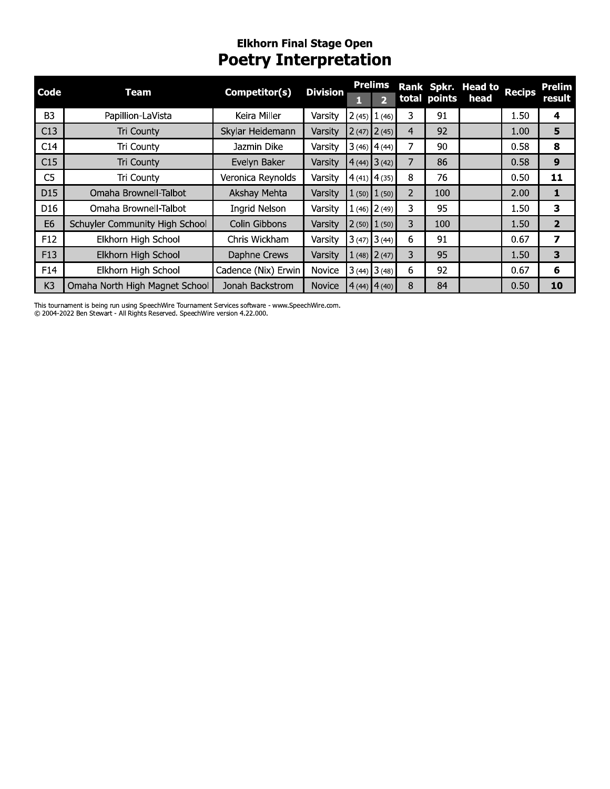# Elkhorn Final Stage Open<br>Poetry Interpretation

| Code            | <b>Team</b>                    | Competitor(s)        | <b>Division</b> | <b>Prelims</b><br>2 |    | total points | Rank Spkr. Head to<br>head | <b>Recips</b> | Prelim<br>result |
|-----------------|--------------------------------|----------------------|-----------------|---------------------|----|--------------|----------------------------|---------------|------------------|
| B <sub>3</sub>  | Papillion-LaVista              | Keira Miller         | Varsity         | $2(45)$ $1(46)$     | 3  | 91           |                            | 1.50          | 4                |
| C13             | <b>Tri County</b>              | Skylar Heidemann     | Varsity         | $2(47)$ $2(45)$     | 4  | 92           |                            | 1.00          | 5                |
| C14             | Tri County                     | Jazmin Dike          | Varsity         | $3(46)$ 4(44)       | 7  | 90           |                            | 0.58          | 8                |
| C15             | <b>Tri County</b>              | Evelyn Baker         | Varsity         | $4(44)$ 3 (42)      | 7  | 86           |                            | 0.58          | 9                |
| C <sub>5</sub>  | Tri County                     | Veronica Reynolds    | Varsity         | $4(41)$ 4 (35)      | 8  | 76           |                            | 0.50          | 11               |
| D15             | Omaha Brownell-Talbot          | Akshay Mehta         | Varsity         | $1(50)$ $1(50)$     | 2  | 100          |                            | 2.00          | 1                |
| D <sub>16</sub> | Omaha Brownell-Talbot          | <b>Ingrid Nelson</b> | Varsity         | $1(46)$ 2(49)       | 3. | 95           |                            | 1.50          | з                |
| E <sub>6</sub>  | Schuyler Community High School | Colin Gibbons        | Varsity         | $2(50)$ $1(50)$     | 3  | 100          |                            | 1.50          | $\overline{2}$   |
| F12             | Elkhorn High School            | Chris Wickham        | Varsity         | $3(47)$ $3(44)$     | 6  | 91           |                            | 0.67          | 7                |
| F13             | Elkhorn High School            | Daphne Crews         | Varsity         | $1(48)$ $2(47)$     | 3  | 95           |                            | 1.50          | 3                |
| F14             | Elkhorn High School            | Cadence (Nix) Erwin  | Novice          | $3(44)$ $3(48)$     | 6  | 92           |                            | 0.67          | 6                |
| K <sub>3</sub>  | Omaha North High Magnet School | Jonah Backstrom      | <b>Novice</b>   | $4(44)$ $4(40)$     | 8  | 84           |                            | 0.50          | 10               |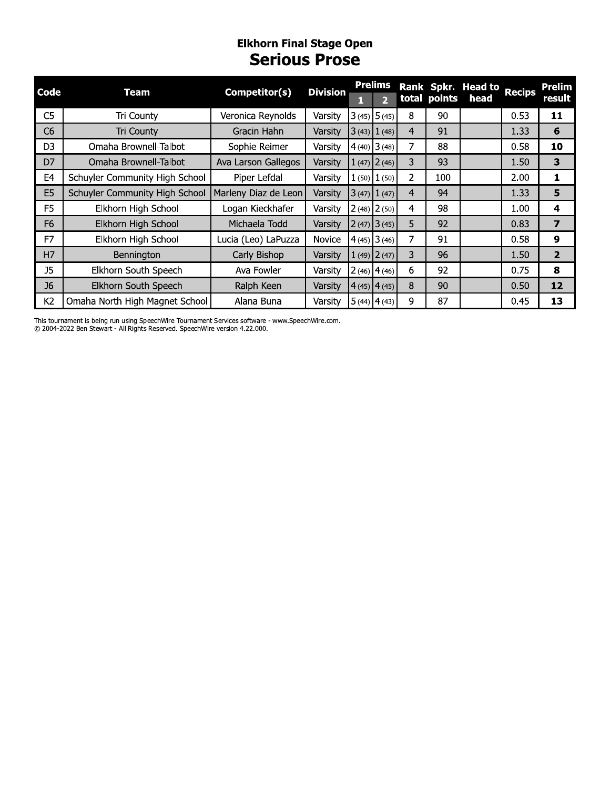#### **Elkhorn Final Stage Open Serious Prose**

| Code           | Team                           | Competitor(s)        | <b>Division</b> |                 | <b>Prelims</b>          |   | total points | Rank Spkr. Head to<br>head | <b>Recips</b> | Prelim<br>result |
|----------------|--------------------------------|----------------------|-----------------|-----------------|-------------------------|---|--------------|----------------------------|---------------|------------------|
|                |                                |                      |                 |                 | $\overline{\mathbf{2}}$ |   |              |                            |               |                  |
| C <sub>5</sub> | Tri County                     | Veronica Reynolds    | Varsitv         |                 | $3(45)$ 5 (45)          | 8 | 90           |                            | 0.53          | 11               |
| C <sub>6</sub> | Tri County                     | Gracin Hahn          | Varsity         | $3(43)$ $1(48)$ |                         | 4 | 91           |                            | 1.33          | 6                |
| D <sub>3</sub> | Omaha Brownell-Talbot          | Sophie Reimer        | Varsity         | $4(40)$ 3 (48)  |                         | 7 | 88           |                            | 0.58          | 10               |
| D7             | Omaha Brownell-Talbot          | Ava Larson Gallegos  | Varsitv         |                 | $1(47)$ $2(46)$         | 3 | 93           |                            | 1.50          | 3                |
| E4             | Schuyler Community High School | Piper Lefdal         | Varsitv         |                 | $1(50)$ $1(50)$         | 2 | 100          |                            | 2.00          | 1                |
| E <sub>5</sub> | Schuyler Community High School | Marleny Diaz de Leon | Varsity         |                 | $3(47)$ $1(47)$         | 4 | 94           |                            | 1.33          | 5                |
| F <sub>5</sub> | Elkhorn High School            | Logan Kieckhafer     | Varsitv         |                 | $2(48)$ $2(50)$         | 4 | 98           |                            | 1.00          | 4                |
| F <sub>6</sub> | Elkhorn High School            | Michaela Todd        | Varsity         | $2(47)$ 3 (45)  |                         | 5 | 92           |                            | 0.83          | 7                |
| F7             | Elkhorn High School            | Lucia (Leo) LaPuzza  | <b>Novice</b>   | $4(45)$ 3 (46)  |                         | 7 | 91           |                            | 0.58          | 9                |
| H7             | Bennington                     | Carly Bishop         | Varsity         |                 | $1(49)$ $2(47)$         | 3 | 96           |                            | 1.50          | $\overline{2}$   |
| <b>J5</b>      | Elkhorn South Speech           | Ava Fowler           | Varsity         | $2(46)$ 4 (46)  |                         | 6 | 92           |                            | 0.75          | 8                |
| J <sub>6</sub> | Elkhorn South Speech           | Ralph Keen           | Varsity         | $4(45)$ 4 (45)  |                         | 8 | 90           |                            | 0.50          | 12               |
| K <sub>2</sub> | Omaha North High Magnet School | Alana Buna           | Varsity         | $5(44)$ 4 (43)  |                         | 9 | 87           |                            | 0.45          | 13               |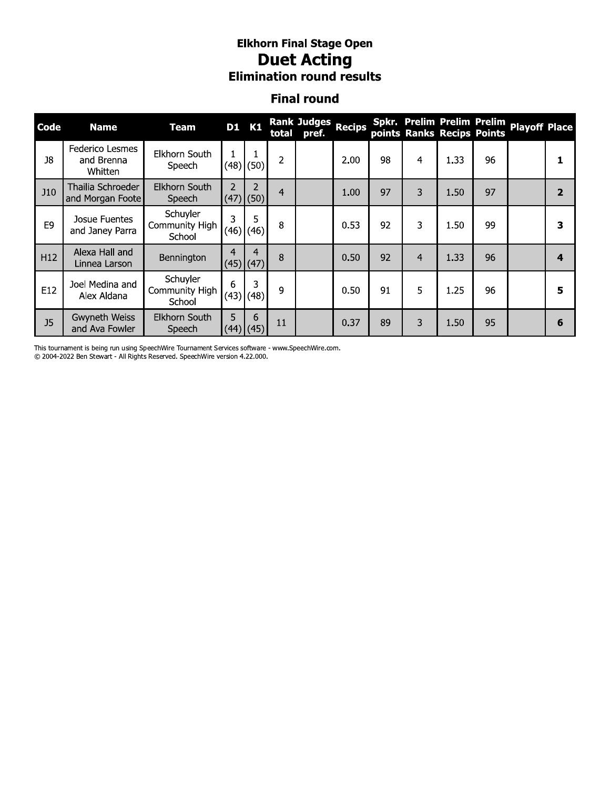# **Elkhorn Final Stage Open<br>Duet Acting<br>Elimination round results**

#### **Final round**

| Code            | <b>Name</b>                              | <b>Team</b>                          | <b>D1</b> K1   |                  |                | <b>Rank Judges</b><br>total pref. | <b>Recips</b> |    |   | points Ranks Recips Points | Spkr. Prelim Prelim Prelim | <b>Playoff Place</b> |                  |
|-----------------|------------------------------------------|--------------------------------------|----------------|------------------|----------------|-----------------------------------|---------------|----|---|----------------------------|----------------------------|----------------------|------------------|
| 18              | Federico Lesmes<br>and Brenna<br>Whitten | Elkhorn South<br>Speech              |                | $(48)$ (50)      | 2              |                                   | 2.00          | 98 | 4 | 1.33                       | 96                         |                      |                  |
| <b>J10</b>      | Thailia Schroeder<br>and Morgan Foote    | Elkhorn South<br>Speech              | $\overline{2}$ | 2<br>$(47)$ (50) | $\overline{4}$ |                                   | 1.00          | 97 | 3 | 1.50                       | 97                         |                      | $\overline{2}$   |
| E <sub>9</sub>  | Josue Fuentes<br>and Janey Parra         | Schuyler<br>Community High<br>School | 3              | 5<br>$(46)$ (46) | 8              |                                   | 0.53          | 92 | 3 | 1.50                       | 99                         |                      | 3                |
| H <sub>12</sub> | Alexa Hall and<br>Linnea Larson          | Bennington                           | 4              | 4<br>$(45)$ (47) | 8              |                                   | 0.50          | 92 | 4 | 1.33                       | 96                         |                      | $\boldsymbol{4}$ |
| E12             | Joel Medina and<br>Alex Aldana           | Schuyler<br>Community High<br>School | 6              | 3<br>$(43)$ (48) | 9              |                                   | 0.50          | 91 | 5 | 1.25                       | 96                         |                      | 5                |
| J <sub>5</sub>  | Gwyneth Weiss<br>and Ava Fowler          | Elkhorn South<br>Speech              | 5              | 6<br>$(44)$ (45) | 11             |                                   | 0.37          | 89 | 3 | 1.50                       | 95                         |                      | 6                |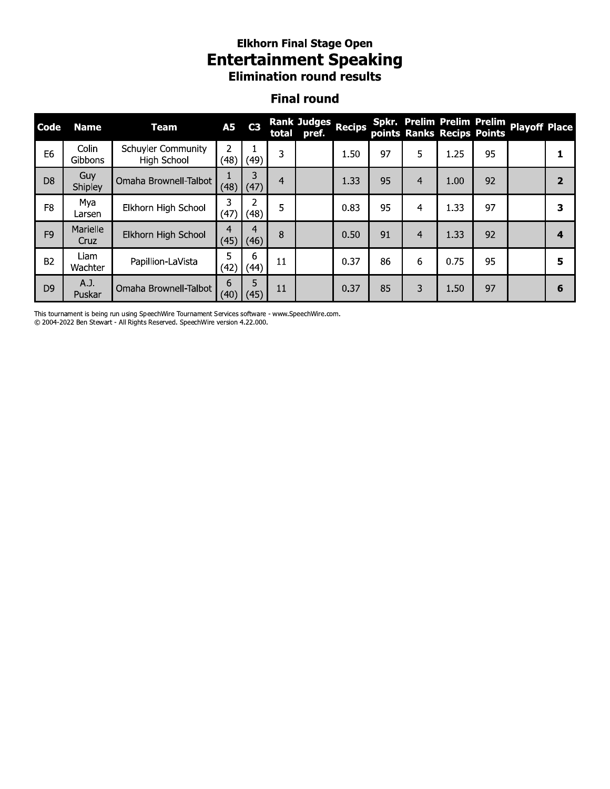#### Eiknorn Finai Stage Open Entertainment Speaking **Elimination round results**

#### Finai round

| Code           | <b>Name</b>      | <b>Team</b>                       | <b>A5</b>              | C <sub>3</sub> |                | Rank Judges Recips<br>total pref. |      |    |                |      |    | Spkr. Prelim Prelim Prelim Playoff Place<br>points Ranks Recips Points |                         |
|----------------|------------------|-----------------------------------|------------------------|----------------|----------------|-----------------------------------|------|----|----------------|------|----|------------------------------------------------------------------------|-------------------------|
| E <sub>6</sub> | Colin<br>Gibbons | Schuyler Community<br>High School | $\overline{2}$<br>(48) | 1<br>(49)      | 3              |                                   | 1.50 | 97 | 5              | 1.25 | 95 |                                                                        | 1                       |
| D <sub>8</sub> | Guy<br>Shipley   | Omaha Brownell-Talbot             | 1<br>(48)              | 3<br>(47)      | $\overline{4}$ |                                   | 1.33 | 95 | 4              | 1.00 | 92 |                                                                        | $\overline{2}$          |
| F <sub>8</sub> | Mya<br>Larsen    | Elkhorn High School               | 3<br>(47)              | 2<br>(48)      | 5              |                                   | 0.83 | 95 | 4              | 1.33 | 97 |                                                                        | 3                       |
| F <sub>9</sub> | Marielle<br>Cruz | Elkhorn High School               | $\overline{4}$<br>(45) | 4<br>(46)      | 8              |                                   | 0.50 | 91 | $\overline{4}$ | 1.33 | 92 |                                                                        | $\overline{\mathbf{4}}$ |
| <b>B2</b>      | Liam<br>Wachter  | Papillion-LaVista                 | 5<br>(42)              | 6<br>(44)      | 11             |                                   | 0.37 | 86 | 6              | 0.75 | 95 |                                                                        | 5                       |
| D <sub>9</sub> | A.J.<br>Puskar   | Omaha Brownell-Talbot             | 6<br>(40)              | 5<br>(45)      | 11             |                                   | 0.37 | 85 | 3              | 1.50 | 97 |                                                                        | 6                       |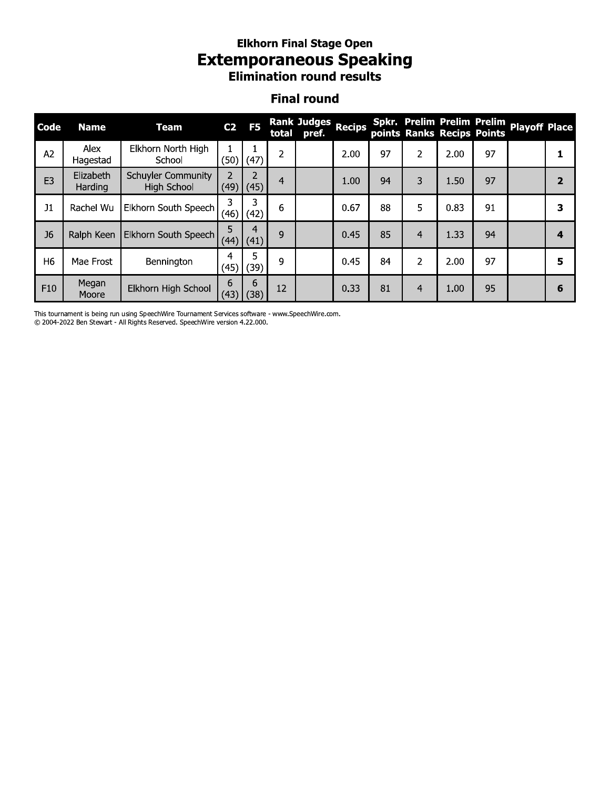### **Elkhorn Final Stage Open Extemporaneous Speaking**<br>Elimination round results

#### **Final round**

| Code           | <b>Name</b>          | <b>Team</b>                                     | C <sub>2</sub>        | F <sub>5</sub> | total          | Rank Judges<br>pref. | <b>Recips</b> |    |                |      | points Ranks Recips Points | Spkr. Prelim Prelim Prelim Playoff Place |                |
|----------------|----------------------|-------------------------------------------------|-----------------------|----------------|----------------|----------------------|---------------|----|----------------|------|----------------------------|------------------------------------------|----------------|
| A <sub>2</sub> | Alex<br>Hagestad     | Elkhorn North High<br>School                    | (50)                  | (47)           | 2              |                      | 2.00          | 97 | 2              | 2.00 | 97                         |                                          |                |
| E <sub>3</sub> | Elizabeth<br>Harding | <b>Schuyler Community</b><br><b>High School</b> | $\mathcal{P}$<br>(49) | (45)           | $\overline{a}$ |                      | 1.00          | 94 | 3              | 1.50 | 97                         |                                          | $\overline{2}$ |
| J1             | Rachel Wu            | Elkhorn South Speech                            | 3<br>(46)             | 3<br>(42)      | 6              |                      | 0.67          | 88 | 5              | 0.83 | 91                         |                                          | 3              |
| J <sub>6</sub> |                      | Ralph Keen   Elkhorn South Speech               | 5<br>(44)             | 4<br>(41)      | 9              |                      | 0.45          | 85 | 4              | 1.33 | 94                         |                                          | 4              |
| H <sub>6</sub> | Mae Frost            | Bennington                                      | 4<br>(45)             | 5<br>(39)      | 9              |                      | 0.45          | 84 | $\overline{2}$ | 2.00 | 97                         |                                          | 5              |
| F10            | Megan<br>Moore       | Elkhorn High School                             | 6<br>(43)             | 6<br>(38)      | 12             |                      | 0.33          | 81 | 4              | 1.00 | 95                         |                                          | 6              |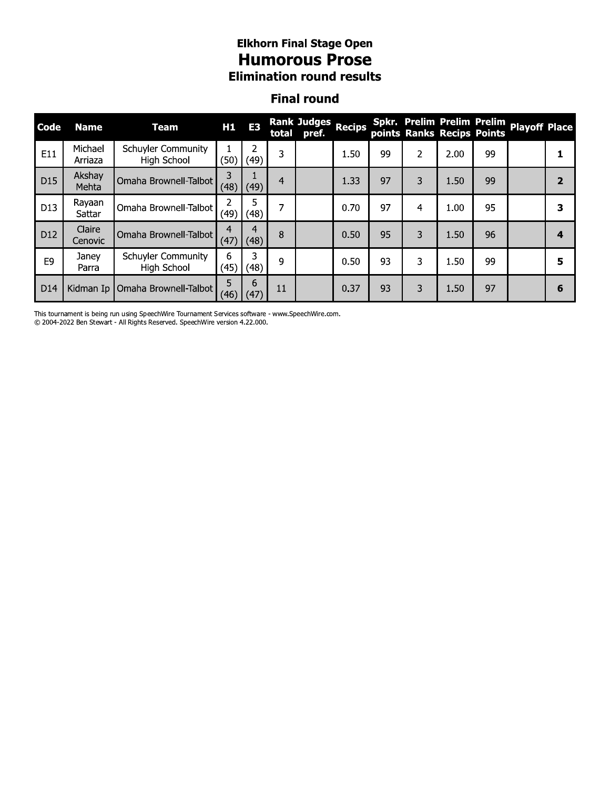#### **Elkhorn Final Stage Open Humorous Prose Elimination round results**

#### **Final round**

| <b>Code</b>     | <b>Name</b>        | <b>Team</b>                                     | H1         | E <sub>3</sub> | total | <b>Rank Judges</b><br>pref. | <b>Recips</b> |    |   | points Ranks Recips Points |    | Spkr. Prelim Prelim Prelim Playoff Place |                         |
|-----------------|--------------------|-------------------------------------------------|------------|----------------|-------|-----------------------------|---------------|----|---|----------------------------|----|------------------------------------------|-------------------------|
| E11             | Michael<br>Arriaza | <b>Schuyler Community</b><br><b>High School</b> | (50)       | 2<br>(49)      | 3     |                             | 1.50          | 99 | 2 | 2.00                       | 99 |                                          |                         |
| D <sub>15</sub> | Akshay<br>Mehta    | Omaha Brownell-Talbot                           | 3<br>(48)  | (49)           | 4     |                             | 1.33          | 97 | 3 | 1.50                       | 99 |                                          | $\overline{\mathbf{2}}$ |
| D <sub>13</sub> | Rayaan<br>Sattar   | Omaha Brownell-Talbot                           | (49)       | 5<br>(48)      | 7     |                             | 0.70          | 97 | 4 | 1.00                       | 95 |                                          | 3                       |
| D <sub>12</sub> | Claire<br>Cenovic  | Omaha Brownell-Talbot                           | 4<br>(47)  | 4<br>(48)      | 8     |                             | 0.50          | 95 | 3 | 1.50                       | 96 |                                          | 4                       |
| E <sub>9</sub>  | Janey<br>Parra     | <b>Schuyler Community</b><br>High School        | 6<br>(45)  | 3<br>(48)      | 9     |                             | 0.50          | 93 | 3 | 1.50                       | 99 |                                          | 5                       |
| D <sub>14</sub> |                    | Kidman Ip   Omaha Brownell-Talbot               | 5.<br>(46) | 6<br>(47)      | 11    |                             | 0.37          | 93 | 3 | 1.50                       | 97 |                                          | 6                       |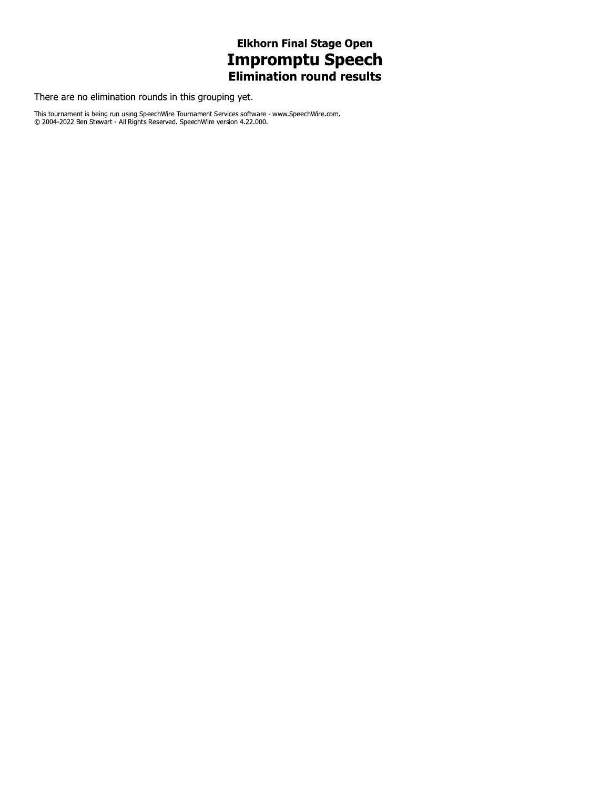## **Elkhorn Final Stage Open Impromptu Speech**<br>Elimination round results

There are no elimination rounds in this grouping yet.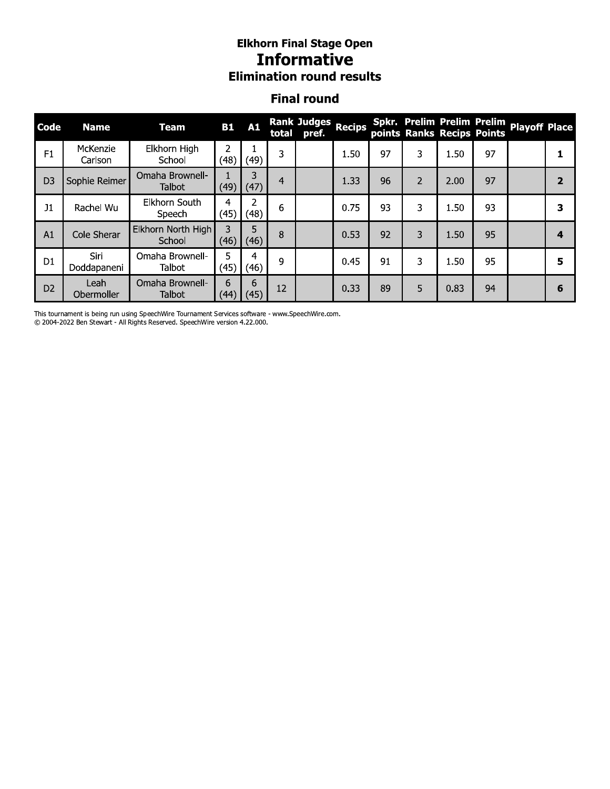#### Eiknorn Finai Stage Open **Informative Elimination round results**

#### Finai round

|                | <i><b>Informative</b></i><br><b>Elimination round results</b> |                              |            |                        |    |                                   |      |    |                |                                                          |    |                      |                         |
|----------------|---------------------------------------------------------------|------------------------------|------------|------------------------|----|-----------------------------------|------|----|----------------|----------------------------------------------------------|----|----------------------|-------------------------|
|                |                                                               |                              |            |                        |    | <b>Final round</b>                |      |    |                |                                                          |    |                      |                         |
| Code           | <b>Name</b>                                                   | <b>Team</b>                  | <b>B1</b>  | A1                     |    | Rank Judges Recips<br>total pref. |      |    |                | Spkr. Prelim Prelim Prelim<br>points Ranks Recips Points |    | <b>Playoff Place</b> |                         |
| F1             | McKenzie<br>Carlson                                           | Elkhorn High<br>School       | 2<br>(48)  | (49)                   | 3  |                                   | 1.50 | 97 | 3              | 1.50                                                     | 97 |                      | 1                       |
| D <sub>3</sub> | Sophie Reimer                                                 | Omaha Brownell-<br>Talbot    | (49)       | 3<br>(47)              | 4  |                                   | 1.33 | 96 | $\overline{2}$ | 2.00                                                     | 97 |                      | $\overline{2}$          |
| J1             | Rachel Wu                                                     | Elkhorn South<br>Speech      | 4<br>(45)  | 2<br>(48)              | 6  |                                   | 0.75 | 93 | 3              | 1.50                                                     | 93 |                      | $\overline{\mathbf{3}}$ |
| A1             | Cole Sherar                                                   | Elkhorn North High<br>School | 3<br>(46)  | 5<br>(46)              | 8  |                                   | 0.53 | 92 | 3              | 1.50                                                     | 95 |                      | $\overline{\mathbf{4}}$ |
| D <sub>1</sub> | Siri<br>Doddapaneni                                           | Omaha Brownell-<br>Talbot    | 5.<br>(45) | $\overline{4}$<br>(46) | 9  |                                   | 0.45 | 91 | 3              | 1.50                                                     | 95 |                      | 5                       |
| D <sub>2</sub> | Leah<br>Obermoller                                            | Omaha Brownell-<br>Talbot    | 6<br>(44)  | 6<br>(45)              | 12 |                                   | 0.33 | 89 | 5              | 0.83                                                     | 94 |                      | 6                       |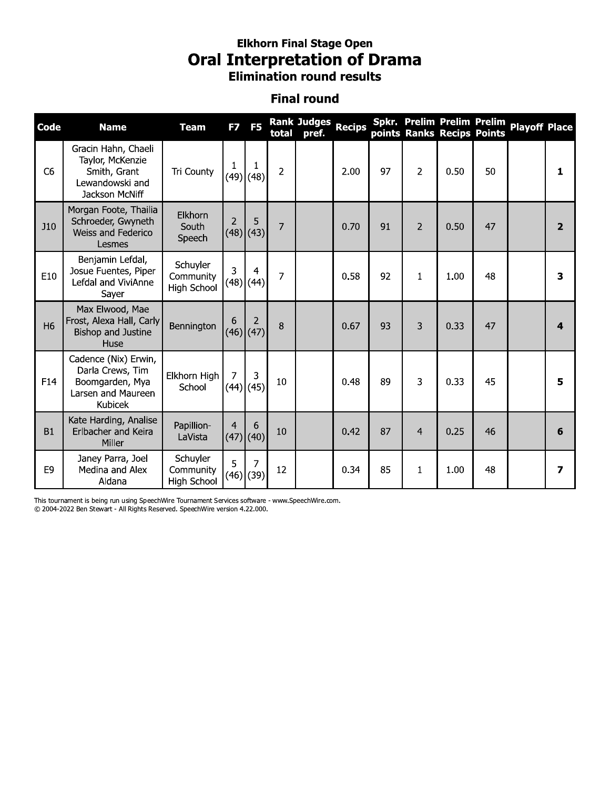### **Elkhorn Final Stage Open Oral Interpretation of Drama**<br>Elimination round results

#### **Final round**

| Code           | <b>Name</b>                                                                                         | <b>Team</b>                                 | F7             | F <sub>5</sub>   | total          | <b>Rank Judges</b><br>pref. | <b>Recips</b> |    |                | points Ranks Recips Points | Spkr. Prelim Prelim Prelim | <b>Playoff Place</b> |                         |
|----------------|-----------------------------------------------------------------------------------------------------|---------------------------------------------|----------------|------------------|----------------|-----------------------------|---------------|----|----------------|----------------------------|----------------------------|----------------------|-------------------------|
| C <sub>6</sub> | Gracin Hahn, Chaeli<br>Taylor, McKenzie<br>Smith, Grant<br>Lewandowski and<br><b>Jackson McNiff</b> | Tri County                                  | 1              | 1<br>$(49)$ (48) | $\overline{2}$ |                             | 2.00          | 97 | $\overline{2}$ | 0.50                       | 50                         |                      | 1                       |
| J10            | Morgan Foote, Thailia<br>Schroeder, Gwyneth<br>Weiss and Federico<br>Lesmes                         | Elkhorn<br>South<br>Speech                  | $\overline{2}$ | 5<br>$(48)$ (43) | 7              |                             | 0.70          | 91 | 2              | 0.50                       | 47                         |                      | $\overline{2}$          |
| E10            | Benjamin Lefdal,<br>Josue Fuentes, Piper<br>Lefdal and ViviAnne<br>Sayer                            | Schuyler<br>Community<br><b>High School</b> | 3              | 4<br>$(48)$ (44) | 7              |                             | 0.58          | 92 | 1              | 1.00                       | 48                         |                      | 3                       |
| H <sub>6</sub> | Max Elwood, Mae<br>Frost, Alexa Hall, Carly<br><b>Bishop and Justine</b><br>Huse                    | Bennington                                  | 6              | 2<br>$(46)$ (47) | 8              |                             | 0.67          | 93 | 3              | 0.33                       | 47                         |                      | $\overline{\mathbf{A}}$ |
| F14            | Cadence (Nix) Erwin,<br>Darla Crews, Tim<br>Boomgarden, Mya<br>Larsen and Maureen<br><b>Kubicek</b> | Elkhorn High<br>School                      | 7              | 3<br>$(44)$ (45) | 10             |                             | 0.48          | 89 | 3              | 0.33                       | 45                         |                      | 5                       |
| <b>B1</b>      | Kate Harding, Analise<br>Erlbacher and Keira<br>Miller                                              | Papillion-<br>LaVista                       | $\overline{4}$ | 6<br>$(47)$ (40) | 10             |                             | 0.42          | 87 | 4              | 0.25                       | 46                         |                      | 6                       |
| E9             | Janey Parra, Joel<br>Medina and Alex<br>Aldana                                                      | Schuyler<br>Community<br><b>High School</b> | 5              | 7<br>$(46)$ (39) | 12             |                             | 0.34          | 85 | 1              | 1.00                       | 48                         |                      | 7                       |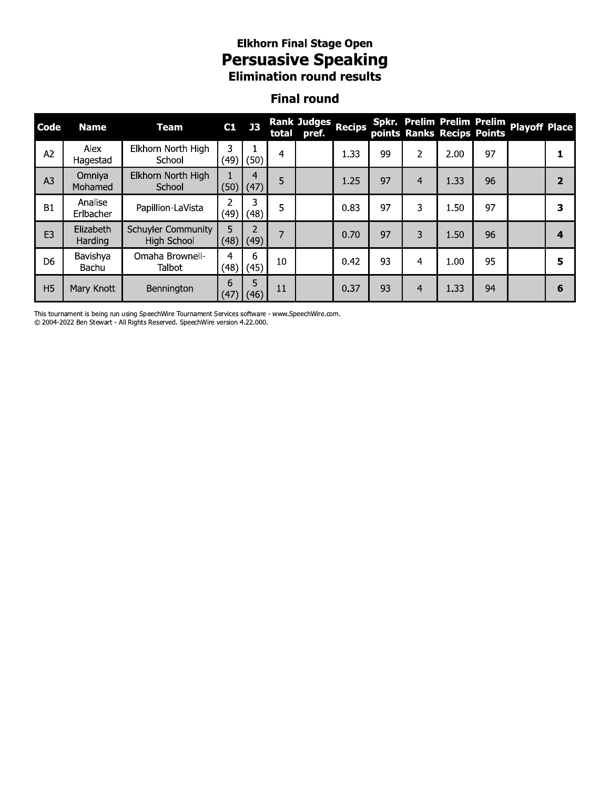# **Elkhorn Final Stage Open<br>Persuasive Speaking<br>Elimination round results**

#### **Final round**

| Code           | <b>Name</b>          | <b>Team</b>                                     | C1        | J3        | total | Rank Judges<br>pref. | <b>Recips</b> |    |   |      | points Ranks Recips Points | Spkr. Prelim Prelim Prelim Playoff Place |                |
|----------------|----------------------|-------------------------------------------------|-----------|-----------|-------|----------------------|---------------|----|---|------|----------------------------|------------------------------------------|----------------|
| A <sub>2</sub> | Alex<br>Hagestad     | Elkhorn North High<br>School                    | 3<br>(49) | (50)      | 4     |                      | 1.33          | 99 | 2 | 2.00 | 97                         |                                          |                |
| A <sub>3</sub> | Omniya<br>Mohamed    | Elkhorn North High<br>School                    | (50)      | 4<br>(47) | 5     |                      | 1.25          | 97 | 4 | 1.33 | 96                         |                                          | $\overline{2}$ |
| <b>B1</b>      | Analise<br>Erlbacher | Papillion-LaVista                               | າ<br>(49) | 3<br>(48) | 5     |                      | 0.83          | 97 | 3 | 1.50 | 97                         |                                          | 3              |
| E <sub>3</sub> | Elizabeth<br>Harding | <b>Schuyler Community</b><br><b>High School</b> | 5<br>(48) | (49)      | 7     |                      | 0.70          | 97 | 3 | 1.50 | 96                         |                                          | 4              |
| D <sub>6</sub> | Bavishya<br>Bachu    | Omaha Brownell-<br>Talbot                       | 4<br>(48) | 6<br>(45) | 10    |                      | 0.42          | 93 | 4 | 1.00 | 95                         |                                          | 5              |
| H <sub>5</sub> | Mary Knott           | Bennington                                      | 6<br>(47) | 5<br>(46) | 11    |                      | 0.37          | 93 | 4 | 1.33 | 94                         |                                          | 6              |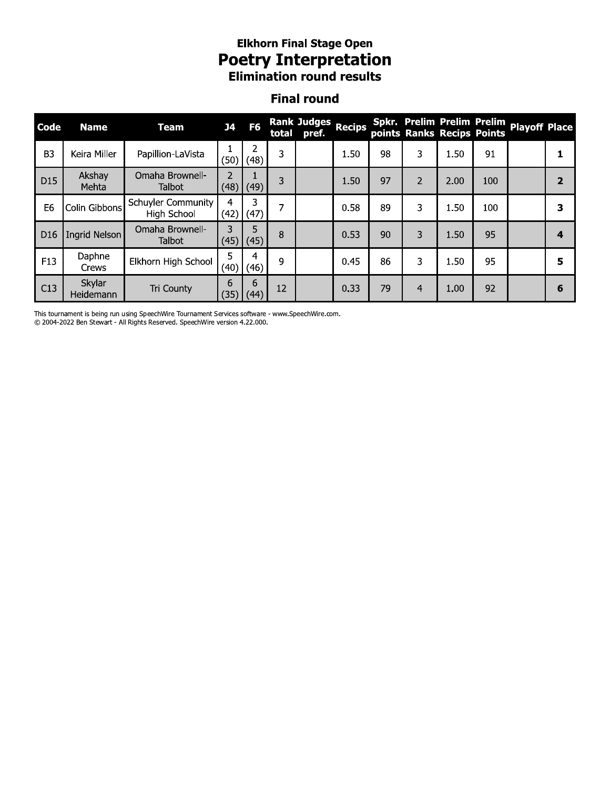## **Elkhorn Final Stage Open Poetry Interpretation**<br>Elimination round results

#### **Final round**

| Code            | <b>Name</b>         | <b>Team</b>                              | <b>J4</b>              | F <sub>6</sub> | total | Rank Judges<br>pref. | <b>Recips</b> |    |                |      | points Ranks Recips Points | Spkr. Prelim Prelim Prelim Playoff Place |                |
|-----------------|---------------------|------------------------------------------|------------------------|----------------|-------|----------------------|---------------|----|----------------|------|----------------------------|------------------------------------------|----------------|
| B <sub>3</sub>  | Keira Miller        | Papillion-LaVista                        | (50)                   | 2<br>(48)      | 3     |                      | 1.50          | 98 | 3              | 1.50 | 91                         |                                          |                |
| D <sub>15</sub> | Akshay<br>Mehta     | Omaha Brownell-<br><b>Talbot</b>         | $\overline{2}$<br>(48) | (49)           | 3     |                      | 1.50          | 97 | $\overline{2}$ | 2.00 | 100                        |                                          | $\overline{2}$ |
| E <sub>6</sub>  | Colin Gibbons       | <b>Schuyler Community</b><br>High School | 4<br>(42)              | 3<br>(47)      | 7     |                      | 0.58          | 89 | 3              | 1.50 | 100                        |                                          | 3              |
| D <sub>16</sub> | Ingrid Nelson       | Omaha Brownell-<br><b>Talbot</b>         | 3<br>(45)              | 5<br>(45)      | 8     |                      | 0.53          | 90 | 3              | 1.50 | 95                         |                                          | 4              |
| F <sub>13</sub> | Daphne<br>Crews     | Elkhorn High School                      | 5<br>(40)              | 4<br>(46)      | 9     |                      | 0.45          | 86 | 3              | 1.50 | 95                         |                                          | 5              |
| C13             | Skylar<br>Heidemann | Tri County                               | 6<br>(35)              | 6<br>(44)      | 12    |                      | 0.33          | 79 | $\overline{4}$ | 1.00 | 92                         |                                          | 6              |